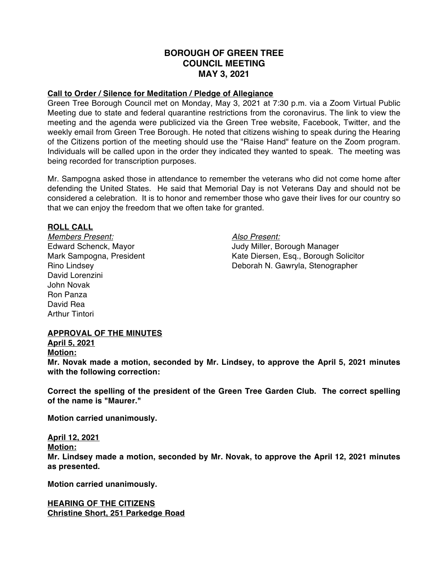# **BOROUGH OF GREEN TREE COUNCIL MEETING MAY 3, 2021**

## **Call to Order / Silence for Meditation / Pledge of Allegiance**

Green Tree Borough Council met on Monday, May 3, 2021 at 7:30 p.m. via a Zoom Virtual Public Meeting due to state and federal quarantine restrictions from the coronavirus. The link to view the meeting and the agenda were publicized via the Green Tree website, Facebook, Twitter, and the weekly email from Green Tree Borough. He noted that citizens wishing to speak during the Hearing of the Citizens portion of the meeting should use the "Raise Hand" feature on the Zoom program. Individuals will be called upon in the order they indicated they wanted to speak. The meeting was being recorded for transcription purposes.

Mr. Sampogna asked those in attendance to remember the veterans who did not come home after defending the United States. He said that Memorial Day is not Veterans Day and should not be considered a celebration. It is to honor and remember those who gave their lives for our country so that we can enjoy the freedom that we often take for granted.

#### **ROLL CALL**

*Members Present: Also Present:* David Lorenzini John Novak Ron Panza David Rea Arthur Tintori

Edward Schenck, Mayor Judy Miller, Borough Manager Mark Sampogna, President Kate Diersen, Esq., Borough Solicitor Rino Lindsey Deborah N. Gawryla, Stenographer

#### **APPROVAL OF THE MINUTES**

**April 5, 2021**

**Motion:**

**Mr. Novak made a motion, seconded by Mr. Lindsey, to approve the April 5, 2021 minutes with the following correction:**

**Correct the spelling of the president of the Green Tree Garden Club. The correct spelling of the name is "Maurer."**

**Motion carried unanimously.**

**April 12, 2021 Motion: Mr. Lindsey made a motion, seconded by Mr. Novak, to approve the April 12, 2021 minutes as presented.**

**Motion carried unanimously.**

**HEARING OF THE CITIZENS Christine Short, 251 Parkedge Road**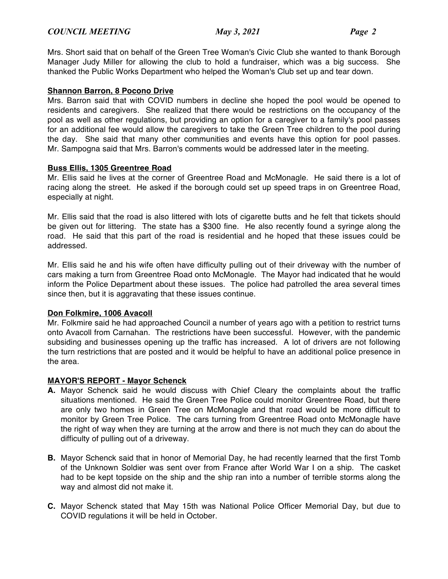Mrs. Short said that on behalf of the Green Tree Woman's Civic Club she wanted to thank Borough Manager Judy Miller for allowing the club to hold a fundraiser, which was a big success. She thanked the Public Works Department who helped the Woman's Club set up and tear down.

## **Shannon Barron, 8 Pocono Drive**

Mrs. Barron said that with COVID numbers in decline she hoped the pool would be opened to residents and caregivers. She realized that there would be restrictions on the occupancy of the pool as well as other regulations, but providing an option for a caregiver to a family's pool passes for an additional fee would allow the caregivers to take the Green Tree children to the pool during the day. She said that many other communities and events have this option for pool passes. Mr. Sampogna said that Mrs. Barron's comments would be addressed later in the meeting.

## **Buss Ellis, 1305 Greentree Road**

Mr. Ellis said he lives at the corner of Greentree Road and McMonagle. He said there is a lot of racing along the street. He asked if the borough could set up speed traps in on Greentree Road, especially at night.

Mr. Ellis said that the road is also littered with lots of cigarette butts and he felt that tickets should be given out for littering. The state has a \$300 fine. He also recently found a syringe along the road. He said that this part of the road is residential and he hoped that these issues could be addressed.

Mr. Ellis said he and his wife often have difficulty pulling out of their driveway with the number of cars making a turn from Greentree Road onto McMonagle. The Mayor had indicated that he would inform the Police Department about these issues. The police had patrolled the area several times since then, but it is aggravating that these issues continue.

#### **Don Folkmire, 1006 Avacoll**

Mr. Folkmire said he had approached Council a number of years ago with a petition to restrict turns onto Avacoll from Carnahan. The restrictions have been successful. However, with the pandemic subsiding and businesses opening up the traffic has increased. A lot of drivers are not following the turn restrictions that are posted and it would be helpful to have an additional police presence in the area.

#### **MAYOR'S REPORT - Mayor Schenck**

- **A.** Mayor Schenck said he would discuss with Chief Cleary the complaints about the traffic situations mentioned. He said the Green Tree Police could monitor Greentree Road, but there are only two homes in Green Tree on McMonagle and that road would be more difficult to monitor by Green Tree Police. The cars turning from Greentree Road onto McMonagle have the right of way when they are turning at the arrow and there is not much they can do about the difficulty of pulling out of a driveway.
- **B.** Mayor Schenck said that in honor of Memorial Day, he had recently learned that the first Tomb of the Unknown Soldier was sent over from France after World War I on a ship. The casket had to be kept topside on the ship and the ship ran into a number of terrible storms along the way and almost did not make it.
- **C.** Mayor Schenck stated that May 15th was National Police Officer Memorial Day, but due to COVID regulations it will be held in October.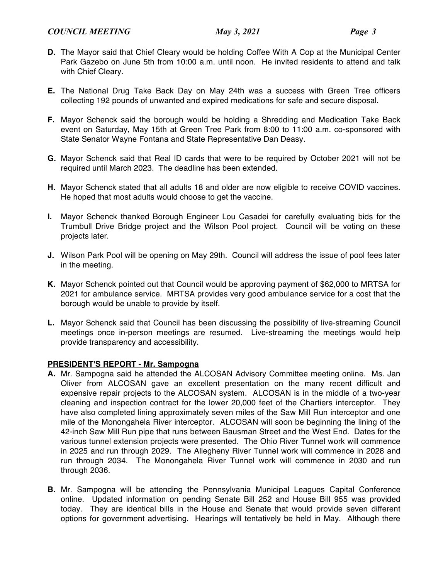- **D.** The Mayor said that Chief Cleary would be holding Coffee With A Cop at the Municipal Center Park Gazebo on June 5th from 10:00 a.m. until noon. He invited residents to attend and talk with Chief Cleary.
- **E.** The National Drug Take Back Day on May 24th was a success with Green Tree officers collecting 192 pounds of unwanted and expired medications for safe and secure disposal.
- **F.** Mayor Schenck said the borough would be holding a Shredding and Medication Take Back event on Saturday, May 15th at Green Tree Park from 8:00 to 11:00 a.m. co-sponsored with State Senator Wayne Fontana and State Representative Dan Deasy.
- **G.** Mayor Schenck said that Real ID cards that were to be required by October 2021 will not be required until March 2023. The deadline has been extended.
- **H.** Mayor Schenck stated that all adults 18 and older are now eligible to receive COVID vaccines. He hoped that most adults would choose to get the vaccine.
- **I.** Mayor Schenck thanked Borough Engineer Lou Casadei for carefully evaluating bids for the Trumbull Drive Bridge project and the Wilson Pool project. Council will be voting on these projects later.
- **J.** Wilson Park Pool will be opening on May 29th. Council will address the issue of pool fees later in the meeting.
- **K.** Mayor Schenck pointed out that Council would be approving payment of \$62,000 to MRTSA for 2021 for ambulance service. MRTSA provides very good ambulance service for a cost that the borough would be unable to provide by itself.
- **L.** Mayor Schenck said that Council has been discussing the possibility of live-streaming Council meetings once in-person meetings are resumed. Live-streaming the meetings would help provide transparency and accessibility.

## **PRESIDENT'S REPORT - Mr. Sampogna**

- **A.** Mr. Sampogna said he attended the ALCOSAN Advisory Committee meeting online. Ms. Jan Oliver from ALCOSAN gave an excellent presentation on the many recent difficult and expensive repair projects to the ALCOSAN system. ALCOSAN is in the middle of a two-year cleaning and inspection contract for the lower 20,000 feet of the Chartiers interceptor. They have also completed lining approximately seven miles of the Saw Mill Run interceptor and one mile of the Monongahela River interceptor. ALCOSAN will soon be beginning the lining of the 42-inch Saw Mill Run pipe that runs between Bausman Street and the West End. Dates for the various tunnel extension projects were presented. The Ohio River Tunnel work will commence in 2025 and run through 2029. The Allegheny River Tunnel work will commence in 2028 and run through 2034. The Monongahela River Tunnel work will commence in 2030 and run through 2036.
- **B.** Mr. Sampogna will be attending the Pennsylvania Municipal Leagues Capital Conference online. Updated information on pending Senate Bill 252 and House Bill 955 was provided today. They are identical bills in the House and Senate that would provide seven different options for government advertising. Hearings will tentatively be held in May. Although there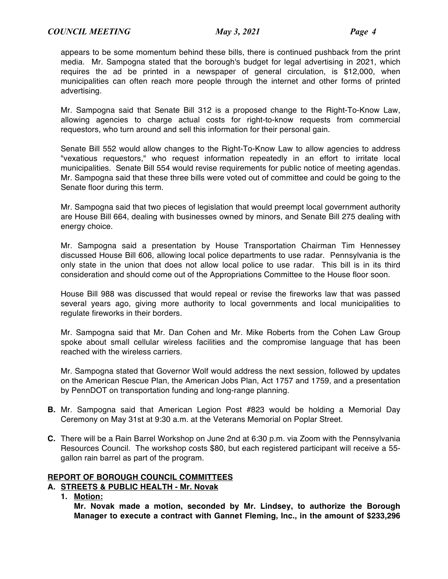appears to be some momentum behind these bills, there is continued pushback from the print media. Mr. Sampogna stated that the borough's budget for legal advertising in 2021, which requires the ad be printed in a newspaper of general circulation, is \$12,000, when municipalities can often reach more people through the internet and other forms of printed advertising.

Mr. Sampogna said that Senate Bill 312 is a proposed change to the Right-To-Know Law, allowing agencies to charge actual costs for right-to-know requests from commercial requestors, who turn around and sell this information for their personal gain.

Senate Bill 552 would allow changes to the Right-To-Know Law to allow agencies to address "vexatious requestors," who request information repeatedly in an effort to irritate local municipalities. Senate Bill 554 would revise requirements for public notice of meeting agendas. Mr. Sampogna said that these three bills were voted out of committee and could be going to the Senate floor during this term.

Mr. Sampogna said that two pieces of legislation that would preempt local government authority are House Bill 664, dealing with businesses owned by minors, and Senate Bill 275 dealing with energy choice.

Mr. Sampogna said a presentation by House Transportation Chairman Tim Hennessey discussed House Bill 606, allowing local police departments to use radar. Pennsylvania is the only state in the union that does not allow local police to use radar. This bill is in its third consideration and should come out of the Appropriations Committee to the House floor soon.

House Bill 988 was discussed that would repeal or revise the fireworks law that was passed several years ago, giving more authority to local governments and local municipalities to regulate fireworks in their borders.

Mr. Sampogna said that Mr. Dan Cohen and Mr. Mike Roberts from the Cohen Law Group spoke about small cellular wireless facilities and the compromise language that has been reached with the wireless carriers.

Mr. Sampogna stated that Governor Wolf would address the next session, followed by updates on the American Rescue Plan, the American Jobs Plan, Act 1757 and 1759, and a presentation by PennDOT on transportation funding and long-range planning.

- **B.** Mr. Sampogna said that American Legion Post #823 would be holding a Memorial Day Ceremony on May 31st at 9:30 a.m. at the Veterans Memorial on Poplar Street.
- **C.** There will be a Rain Barrel Workshop on June 2nd at 6:30 p.m. via Zoom with the Pennsylvania Resources Council. The workshop costs \$80, but each registered participant will receive a 55 gallon rain barrel as part of the program.

## **REPORT OF BOROUGH COUNCIL COMMITTEES**

## **A. STREETS & PUBLIC HEALTH - Mr. Novak**

**1. Motion:**

**Mr. Novak made a motion, seconded by Mr. Lindsey, to authorize the Borough Manager to execute a contract with Gannet Fleming, Inc., in the amount of \$233,296**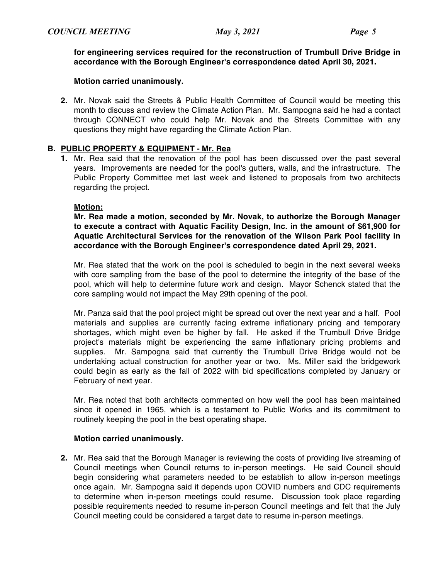**for engineering services required for the reconstruction of Trumbull Drive Bridge in accordance with the Borough Engineer's correspondence dated April 30, 2021.**

## **Motion carried unanimously.**

**2.** Mr. Novak said the Streets & Public Health Committee of Council would be meeting this month to discuss and review the Climate Action Plan. Mr. Sampogna said he had a contact through CONNECT who could help Mr. Novak and the Streets Committee with any questions they might have regarding the Climate Action Plan.

## **B. PUBLIC PROPERTY & EQUIPMENT - Mr. Rea**

**1.** Mr. Rea said that the renovation of the pool has been discussed over the past several years. Improvements are needed for the pool's gutters, walls, and the infrastructure. The Public Property Committee met last week and listened to proposals from two architects regarding the project.

#### **Motion:**

**Mr. Rea made a motion, seconded by Mr. Novak, to authorize the Borough Manager to execute a contract with Aquatic Facility Design, Inc. in the amount of \$61,900 for Aquatic Architectural Services for the renovation of the Wilson Park Pool facility in accordance with the Borough Engineer's correspondence dated April 29, 2021.**

Mr. Rea stated that the work on the pool is scheduled to begin in the next several weeks with core sampling from the base of the pool to determine the integrity of the base of the pool, which will help to determine future work and design. Mayor Schenck stated that the core sampling would not impact the May 29th opening of the pool.

Mr. Panza said that the pool project might be spread out over the next year and a half. Pool materials and supplies are currently facing extreme inflationary pricing and temporary shortages, which might even be higher by fall. He asked if the Trumbull Drive Bridge project's materials might be experiencing the same inflationary pricing problems and supplies. Mr. Sampogna said that currently the Trumbull Drive Bridge would not be undertaking actual construction for another year or two. Ms. Miller said the bridgework could begin as early as the fall of 2022 with bid specifications completed by January or February of next year.

Mr. Rea noted that both architects commented on how well the pool has been maintained since it opened in 1965, which is a testament to Public Works and its commitment to routinely keeping the pool in the best operating shape.

#### **Motion carried unanimously.**

**2.** Mr. Rea said that the Borough Manager is reviewing the costs of providing live streaming of Council meetings when Council returns to in-person meetings. He said Council should begin considering what parameters needed to be establish to allow in-person meetings once again. Mr. Sampogna said it depends upon COVID numbers and CDC requirements to determine when in-person meetings could resume. Discussion took place regarding possible requirements needed to resume in-person Council meetings and felt that the July Council meeting could be considered a target date to resume in-person meetings.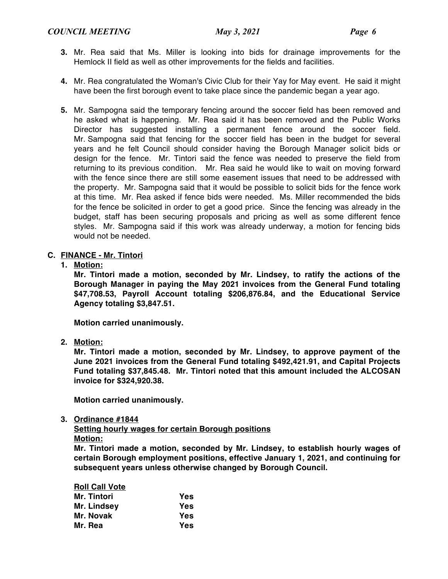- **3.** Mr. Rea said that Ms. Miller is looking into bids for drainage improvements for the Hemlock II field as well as other improvements for the fields and facilities.
- **4.** Mr. Rea congratulated the Woman's Civic Club for their Yay for May event. He said it might have been the first borough event to take place since the pandemic began a year ago.
- **5.** Mr. Sampogna said the temporary fencing around the soccer field has been removed and he asked what is happening. Mr. Rea said it has been removed and the Public Works Director has suggested installing a permanent fence around the soccer field. Mr. Sampogna said that fencing for the soccer field has been in the budget for several years and he felt Council should consider having the Borough Manager solicit bids or design for the fence. Mr. Tintori said the fence was needed to preserve the field from returning to its previous condition. Mr. Rea said he would like to wait on moving forward with the fence since there are still some easement issues that need to be addressed with the property. Mr. Sampogna said that it would be possible to solicit bids for the fence work at this time. Mr. Rea asked if fence bids were needed. Ms. Miller recommended the bids for the fence be solicited in order to get a good price. Since the fencing was already in the budget, staff has been securing proposals and pricing as well as some different fence styles. Mr. Sampogna said if this work was already underway, a motion for fencing bids would not be needed.

## **C. FINANCE - Mr. Tintori**

**1. Motion:**

**Mr. Tintori made a motion, seconded by Mr. Lindsey, to ratify the actions of the Borough Manager in paying the May 2021 invoices from the General Fund totaling \$47,708.53, Payroll Account totaling \$206,876.84, and the Educational Service Agency totaling \$3,847.51.**

**Motion carried unanimously.**

**2. Motion:**

**Mr. Tintori made a motion, seconded by Mr. Lindsey, to approve payment of the June 2021 invoices from the General Fund totaling \$492,421.91, and Capital Projects Fund totaling \$37,845.48. Mr. Tintori noted that this amount included the ALCOSAN invoice for \$324,920.38.**

**Motion carried unanimously.**

**3. Ordinance #1844**

**Setting hourly wages for certain Borough positions Motion:**

**Mr. Tintori made a motion, seconded by Mr. Lindsey, to establish hourly wages of certain Borough employment positions, effective January 1, 2021, and continuing for subsequent years unless otherwise changed by Borough Council.**

| <b>Roll Call Vote</b> |     |
|-----------------------|-----|
| Mr. Tintori           | Yes |
| Mr. Lindsey           | Yes |
| Mr. Novak             | Yes |
| Mr. Rea               | Yes |
|                       |     |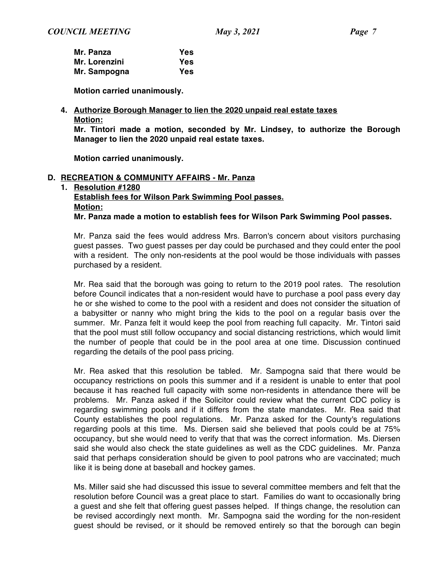| Mr. Panza     | <b>Yes</b> |
|---------------|------------|
| Mr. Lorenzini | Yes        |
| Mr. Sampogna  | Yes        |

**Motion carried unanimously.**

**4. Authorize Borough Manager to lien the 2020 unpaid real estate taxes Motion:**

**Mr. Tintori made a motion, seconded by Mr. Lindsey, to authorize the Borough Manager to lien the 2020 unpaid real estate taxes.**

**Motion carried unanimously.**

## **D. RECREATION & COMMUNITY AFFAIRS - Mr. Panza**

**1. Resolution #1280 Establish fees for Wilson Park Swimming Pool passes. Motion: Mr. Panza made a motion to establish fees for Wilson Park Swimming Pool passes.**

Mr. Panza said the fees would address Mrs. Barron's concern about visitors purchasing guest passes. Two guest passes per day could be purchased and they could enter the pool with a resident. The only non-residents at the pool would be those individuals with passes purchased by a resident.

Mr. Rea said that the borough was going to return to the 2019 pool rates. The resolution before Council indicates that a non-resident would have to purchase a pool pass every day he or she wished to come to the pool with a resident and does not consider the situation of a babysitter or nanny who might bring the kids to the pool on a regular basis over the summer. Mr. Panza felt it would keep the pool from reaching full capacity. Mr. Tintori said that the pool must still follow occupancy and social distancing restrictions, which would limit the number of people that could be in the pool area at one time. Discussion continued regarding the details of the pool pass pricing.

Mr. Rea asked that this resolution be tabled. Mr. Sampogna said that there would be occupancy restrictions on pools this summer and if a resident is unable to enter that pool because it has reached full capacity with some non-residents in attendance there will be problems. Mr. Panza asked if the Solicitor could review what the current CDC policy is regarding swimming pools and if it differs from the state mandates. Mr. Rea said that County establishes the pool regulations. Mr. Panza asked for the County's regulations regarding pools at this time. Ms. Diersen said she believed that pools could be at 75% occupancy, but she would need to verify that that was the correct information. Ms. Diersen said she would also check the state guidelines as well as the CDC guidelines. Mr. Panza said that perhaps consideration should be given to pool patrons who are vaccinated; much like it is being done at baseball and hockey games.

Ms. Miller said she had discussed this issue to several committee members and felt that the resolution before Council was a great place to start. Families do want to occasionally bring a guest and she felt that offering guest passes helped. If things change, the resolution can be revised accordingly next month. Mr. Sampogna said the wording for the non-resident guest should be revised, or it should be removed entirely so that the borough can begin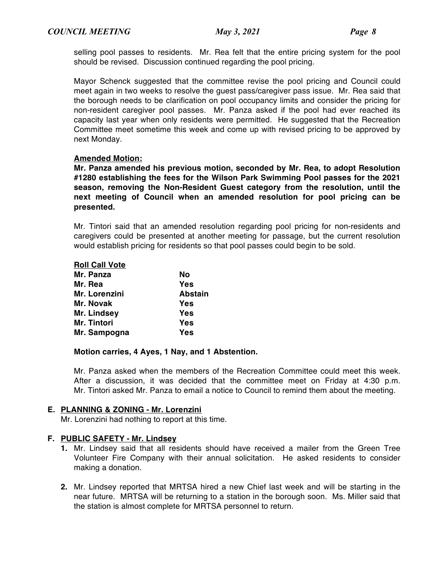selling pool passes to residents. Mr. Rea felt that the entire pricing system for the pool should be revised. Discussion continued regarding the pool pricing.

Mayor Schenck suggested that the committee revise the pool pricing and Council could meet again in two weeks to resolve the guest pass/caregiver pass issue. Mr. Rea said that the borough needs to be clarification on pool occupancy limits and consider the pricing for non-resident caregiver pool passes. Mr. Panza asked if the pool had ever reached its capacity last year when only residents were permitted. He suggested that the Recreation Committee meet sometime this week and come up with revised pricing to be approved by next Monday.

## **Amended Motion:**

**Mr. Panza amended his previous motion, seconded by Mr. Rea, to adopt Resolution #1280 establishing the fees for the Wilson Park Swimming Pool passes for the 2021 season, removing the Non-Resident Guest category from the resolution, until the next meeting of Council when an amended resolution for pool pricing can be presented.**

Mr. Tintori said that an amended resolution regarding pool pricing for non-residents and caregivers could be presented at another meeting for passage, but the current resolution would establish pricing for residents so that pool passes could begin to be sold.

| <b>Roll Call Vote</b> |                |
|-----------------------|----------------|
| Mr. Panza             | No             |
| Mr. Rea               | Yes            |
| Mr. Lorenzini         | <b>Abstain</b> |
| Mr. Novak             | Yes            |
| Mr. Lindsey           | Yes            |
| Mr. Tintori           | Yes            |
| Mr. Sampogna          | Yes            |

#### **Motion carries, 4 Ayes, 1 Nay, and 1 Abstention.**

Mr. Panza asked when the members of the Recreation Committee could meet this week. After a discussion, it was decided that the committee meet on Friday at 4:30 p.m. Mr. Tintori asked Mr. Panza to email a notice to Council to remind them about the meeting.

#### **E. PLANNING & ZONING - Mr. Lorenzini**

Mr. Lorenzini had nothing to report at this time.

#### **F. PUBLIC SAFETY - Mr. Lindsey**

- **1.** Mr. Lindsey said that all residents should have received a mailer from the Green Tree Volunteer Fire Company with their annual solicitation. He asked residents to consider making a donation.
- **2.** Mr. Lindsey reported that MRTSA hired a new Chief last week and will be starting in the near future. MRTSA will be returning to a station in the borough soon. Ms. Miller said that the station is almost complete for MRTSA personnel to return.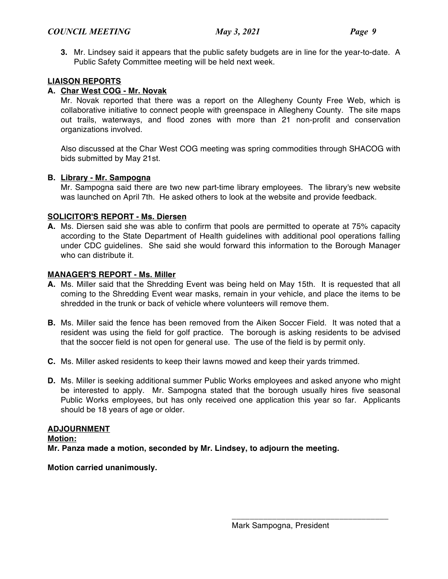**3.** Mr. Lindsey said it appears that the public safety budgets are in line for the year-to-date. A Public Safety Committee meeting will be held next week.

## **LIAISON REPORTS**

## **A. Char West COG - Mr. Novak**

Mr. Novak reported that there was a report on the Allegheny County Free Web, which is collaborative initiative to connect people with greenspace in Allegheny County. The site maps out trails, waterways, and flood zones with more than 21 non-profit and conservation organizations involved.

Also discussed at the Char West COG meeting was spring commodities through SHACOG with bids submitted by May 21st.

## **B. Library - Mr. Sampogna**

Mr. Sampogna said there are two new part-time library employees. The library's new website was launched on April 7th. He asked others to look at the website and provide feedback.

## **SOLICITOR'S REPORT - Ms. Diersen**

**A.** Ms. Diersen said she was able to confirm that pools are permitted to operate at 75% capacity according to the State Department of Health guidelines with additional pool operations falling under CDC guidelines. She said she would forward this information to the Borough Manager who can distribute it.

## **MANAGER'S REPORT - Ms. Miller**

- **A.** Ms. Miller said that the Shredding Event was being held on May 15th. It is requested that all coming to the Shredding Event wear masks, remain in your vehicle, and place the items to be shredded in the trunk or back of vehicle where volunteers will remove them.
- **B.** Ms. Miller said the fence has been removed from the Aiken Soccer Field. It was noted that a resident was using the field for golf practice. The borough is asking residents to be advised that the soccer field is not open for general use. The use of the field is by permit only.
- **C.** Ms. Miller asked residents to keep their lawns mowed and keep their yards trimmed.
- **D.** Ms. Miller is seeking additional summer Public Works employees and asked anyone who might be interested to apply. Mr. Sampogna stated that the borough usually hires five seasonal Public Works employees, but has only received one application this year so far. Applicants should be 18 years of age or older.

#### **ADJOURNMENT**

**Motion: Mr. Panza made a motion, seconded by Mr. Lindsey, to adjourn the meeting.**

**Motion carried unanimously.**

\_\_\_\_\_\_\_\_\_\_\_\_\_\_\_\_\_\_\_\_\_\_\_\_\_\_\_\_\_\_\_\_\_\_\_